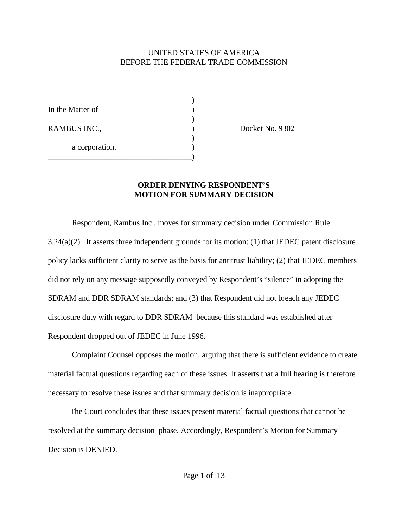### UNITED STATES OF AMERICA BEFORE THE FEDERAL TRADE COMMISSION

)

 $\mathcal{L}$ 

)

In the Matter of  $\qquad \qquad$  )

a corporation.

\_\_\_\_\_\_\_\_\_\_\_\_\_\_\_\_\_\_\_\_\_\_\_\_\_\_\_\_\_\_\_\_\_\_\_\_

\_\_\_\_\_\_\_\_\_\_\_\_\_\_\_\_\_\_\_\_\_\_\_\_\_\_\_\_\_\_\_\_\_\_\_\_)

RAMBUS INC.,  $Docket No. 9302$ 

### **ORDER DENYING RESPONDENT'S MOTION FOR SUMMARY DECISION**

Respondent, Rambus Inc., moves for summary decision under Commission Rule 3.24(a)(2). It asserts three independent grounds for its motion: (1) that JEDEC patent disclosure policy lacks sufficient clarity to serve as the basis for antitrust liability; (2) that JEDEC members did not rely on any message supposedly conveyed by Respondent's "silence" in adopting the SDRAM and DDR SDRAM standards; and (3) that Respondent did not breach any JEDEC disclosure duty with regard to DDR SDRAM because this standard was established after Respondent dropped out of JEDEC in June 1996.

Complaint Counsel opposes the motion, arguing that there is sufficient evidence to create material factual questions regarding each of these issues. It asserts that a full hearing is therefore necessary to resolve these issues and that summary decision is inappropriate.

 The Court concludes that these issues present material factual questions that cannot be resolved at the summary decision phase. Accordingly, Respondent's Motion for Summary Decision is DENIED.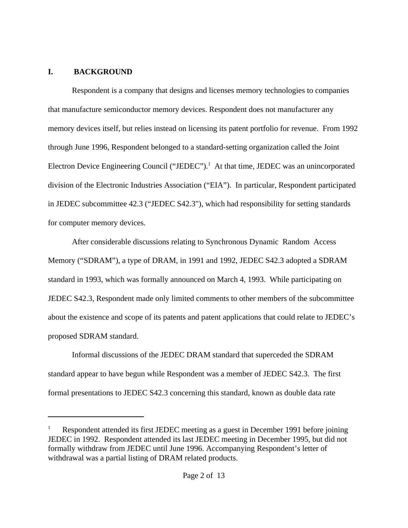#### **I. BACKGROUND**

Respondent is a company that designs and licenses memory technologies to companies that manufacture semiconductor memory devices. Respondent does not manufacturer any memory devices itself, but relies instead on licensing its patent portfolio for revenue. From 1992 through June 1996, Respondent belonged to a standard-setting organization called the Joint Electron Device Engineering Council ("JEDEC").<sup>1</sup> At that time, JEDEC was an unincorporated division of the Electronic Industries Association ("EIA"). In particular, Respondent participated in JEDEC subcommittee 42.3 ("JEDEC S42.3"), which had responsibility for setting standards for computer memory devices.

After considerable discussions relating to Synchronous Dynamic Random Access Memory ("SDRAM"), a type of DRAM, in 1991 and 1992, JEDEC S42.3 adopted a SDRAM standard in 1993, which was formally announced on March 4, 1993. While participating on JEDEC S42.3, Respondent made only limited comments to other members of the subcommittee about the existence and scope of its patents and patent applications that could relate to JEDEC's proposed SDRAM standard.

Informal discussions of the JEDEC DRAM standard that superceded the SDRAM standard appear to have begun while Respondent was a member of JEDEC S42.3. The first formal presentations to JEDEC S42.3 concerning this standard, known as double data rate

<sup>1</sup> Respondent attended its first JEDEC meeting as a guest in December 1991 before joining JEDEC in 1992. Respondent attended its last JEDEC meeting in December 1995, but did not formally withdraw from JEDEC until June 1996. Accompanying Respondent's letter of withdrawal was a partial listing of DRAM related products.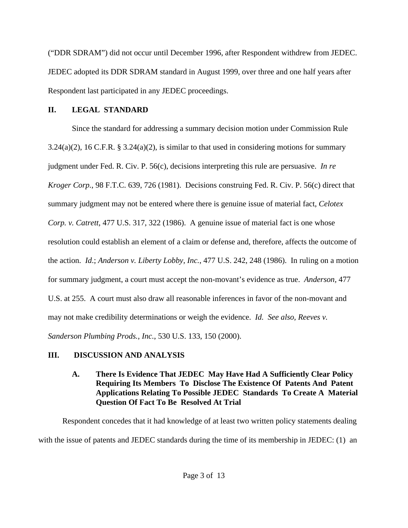("DDR SDRAM") did not occur until December 1996, after Respondent withdrew from JEDEC. JEDEC adopted its DDR SDRAM standard in August 1999, over three and one half years after Respondent last participated in any JEDEC proceedings.

## **II. LEGAL STANDARD**

Since the standard for addressing a summary decision motion under Commission Rule  $3.24(a)(2)$ , 16 C.F.R. §  $3.24(a)(2)$ , is similar to that used in considering motions for summary judgment under Fed. R. Civ. P. 56(c), decisions interpreting this rule are persuasive. *In re Kroger Corp.*, 98 F.T.C. 639, 726 (1981). Decisions construing Fed. R. Civ. P. 56(c) direct that summary judgment may not be entered where there is genuine issue of material fact, *Celotex Corp. v. Catrett*, 477 U.S. 317, 322 (1986). A genuine issue of material fact is one whose resolution could establish an element of a claim or defense and, therefore, affects the outcome of the action. *Id*.; *Anderson v. Liberty Lobby, Inc.*, 477 U.S. 242, 248 (1986). In ruling on a motion for summary judgment, a court must accept the non-movant's evidence as true. *Anderson,* 477 U.S. at 255. A court must also draw all reasonable inferences in favor of the non-movant and may not make credibility determinations or weigh the evidence. *Id. See also, Reeves v. Sanderson Plumbing Prods., Inc.*, 530 U.S. 133, 150 (2000).

# **III. DISCUSSION AND ANALYSIS**

**A. There Is Evidence That JEDEC May Have Had A Sufficiently Clear Policy Requiring Its Members To Disclose The Existence Of Patents And Patent Applications Relating To Possible JEDEC Standards To Create A Material Question Of Fact To Be Resolved At Trial**

Respondent concedes that it had knowledge of at least two written policy statements dealing with the issue of patents and JEDEC standards during the time of its membership in JEDEC: (1) an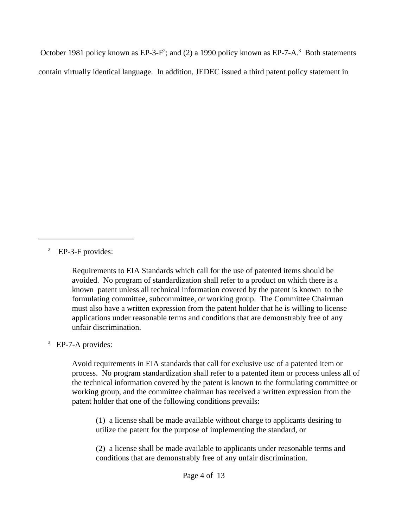October 1981 policy known as EP-3-F<sup>2</sup>; and (2) a 1990 policy known as EP-7-A.<sup>3</sup> Both statements contain virtually identical language. In addition, JEDEC issued a third patent policy statement in

<sup>2</sup> EP-3-F provides:

Requirements to EIA Standards which call for the use of patented items should be avoided. No program of standardization shall refer to a product on which there is a known patent unless all technical information covered by the patent is known to the formulating committee, subcommittee, or working group. The Committee Chairman must also have a written expression from the patent holder that he is willing to license applications under reasonable terms and conditions that are demonstrably free of any unfair discrimination.

<sup>3</sup> EP-7-A provides:

Avoid requirements in EIA standards that call for exclusive use of a patented item or process. No program standardization shall refer to a patented item or process unless all of the technical information covered by the patent is known to the formulating committee or working group, and the committee chairman has received a written expression from the patent holder that one of the following conditions prevails:

(1) a license shall be made available without charge to applicants desiring to utilize the patent for the purpose of implementing the standard, or

(2) a license shall be made available to applicants under reasonable terms and conditions that are demonstrably free of any unfair discrimination.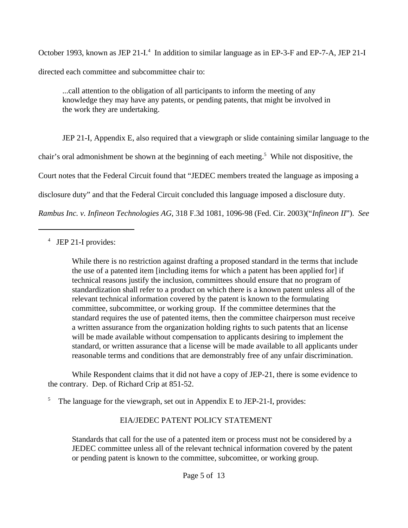October 1993, known as JEP 21-I.<sup>4</sup> In addition to similar language as in EP-3-F and EP-7-A, JEP 21-I directed each committee and subcommittee chair to:

...call attention to the obligation of all participants to inform the meeting of any knowledge they may have any patents, or pending patents, that might be involved in the work they are undertaking.

JEP 21-I, Appendix E, also required that a viewgraph or slide containing similar language to the

chair's oral admonishment be shown at the beginning of each meeting.<sup>5</sup> While not dispositive, the

Court notes that the Federal Circuit found that "JEDEC members treated the language as imposing a

disclosure duty" and that the Federal Circuit concluded this language imposed a disclosure duty.

*Rambus Inc. v. Infineon Technologies AG*, 318 F.3d 1081, 1096-98 (Fed. Cir. 2003)("*Infineon II*"). *See*

4 JEP 21-I provides:

While there is no restriction against drafting a proposed standard in the terms that include the use of a patented item [including items for which a patent has been applied for] if technical reasons justify the inclusion, committees should ensure that no program of standardization shall refer to a product on which there is a known patent unless all of the relevant technical information covered by the patent is known to the formulating committee, subcommittee, or working group. If the committee determines that the standard requires the use of patented items, then the committee chairperson must receive a written assurance from the organization holding rights to such patents that an license will be made available without compensation to applicants desiring to implement the standard, or written assurance that a license will be made available to all applicants under reasonable terms and conditions that are demonstrably free of any unfair discrimination.

While Respondent claims that it did not have a copy of JEP-21, there is some evidence to the contrary. Dep. of Richard Crip at 851-52.

5 The language for the viewgraph, set out in Appendix E to JEP-21-I, provides:

# EIA/JEDEC PATENT POLICY STATEMENT

Standards that call for the use of a patented item or process must not be considered by a JEDEC committee unless all of the relevant technical information covered by the patent or pending patent is known to the committee, subcomittee, or working group.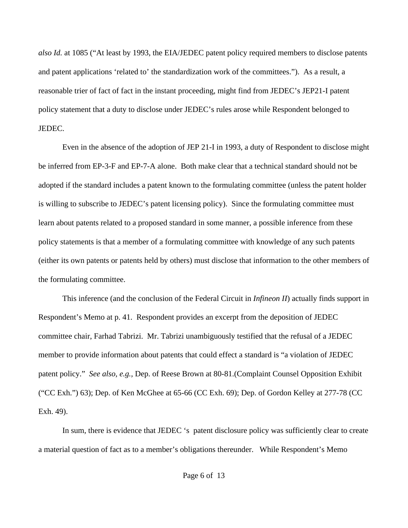*also Id.* at 1085 ("At least by 1993, the EIA/JEDEC patent policy required members to disclose patents and patent applications 'related to' the standardization work of the committees."). As a result, a reasonable trier of fact of fact in the instant proceeding, might find from JEDEC's JEP21-I patent policy statement that a duty to disclose under JEDEC's rules arose while Respondent belonged to JEDEC.

Even in the absence of the adoption of JEP 21-I in 1993, a duty of Respondent to disclose might be inferred from EP-3-F and EP-7-A alone. Both make clear that a technical standard should not be adopted if the standard includes a patent known to the formulating committee (unless the patent holder is willing to subscribe to JEDEC's patent licensing policy). Since the formulating committee must learn about patents related to a proposed standard in some manner, a possible inference from these policy statements is that a member of a formulating committee with knowledge of any such patents (either its own patents or patents held by others) must disclose that information to the other members of the formulating committee.

This inference (and the conclusion of the Federal Circuit in *Infineon II*) actually finds support in Respondent's Memo at p. 41. Respondent provides an excerpt from the deposition of JEDEC committee chair, Farhad Tabrizi. Mr. Tabrizi unambiguously testified that the refusal of a JEDEC member to provide information about patents that could effect a standard is "a violation of JEDEC patent policy." *See also, e.g.,* Dep. of Reese Brown at 80-81.(Complaint Counsel Opposition Exhibit ("CC Exh.") 63); Dep. of Ken McGhee at 65-66 (CC Exh. 69); Dep. of Gordon Kelley at 277-78 (CC Exh. 49).

In sum, there is evidence that JEDEC 's patent disclosure policy was sufficiently clear to create a material question of fact as to a member's obligations thereunder. While Respondent's Memo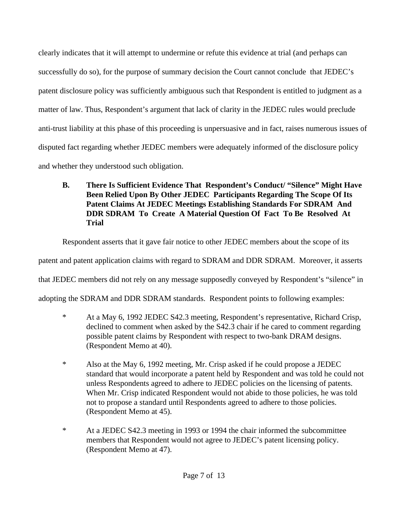clearly indicates that it will attempt to undermine or refute this evidence at trial (and perhaps can successfully do so), for the purpose of summary decision the Court cannot conclude that JEDEC's patent disclosure policy was sufficiently ambiguous such that Respondent is entitled to judgment as a matter of law. Thus, Respondent's argument that lack of clarity in the JEDEC rules would preclude anti-trust liability at this phase of this proceeding is unpersuasive and in fact, raises numerous issues of disputed fact regarding whether JEDEC members were adequately informed of the disclosure policy and whether they understood such obligation.

**B. There Is Sufficient Evidence That Respondent's Conduct/ "Silence" Might Have Been Relied Upon By Other JEDEC Participants Regarding The Scope Of Its Patent Claims At JEDEC Meetings Establishing Standards For SDRAM And DDR SDRAM To Create A Material Question Of Fact To Be Resolved At Trial**

Respondent asserts that it gave fair notice to other JEDEC members about the scope of its

patent and patent application claims with regard to SDRAM and DDR SDRAM. Moreover, it asserts

that JEDEC members did not rely on any message supposedly conveyed by Respondent's "silence" in

adopting the SDRAM and DDR SDRAM standards. Respondent points to following examples:

- \* At a May 6, 1992 JEDEC S42.3 meeting, Respondent's representative, Richard Crisp, declined to comment when asked by the S42.3 chair if he cared to comment regarding possible patent claims by Respondent with respect to two-bank DRAM designs. (Respondent Memo at 40).
- \* Also at the May 6, 1992 meeting, Mr. Crisp asked if he could propose a JEDEC standard that would incorporate a patent held by Respondent and was told he could not unless Respondents agreed to adhere to JEDEC policies on the licensing of patents. When Mr. Crisp indicated Respondent would not abide to those policies, he was told not to propose a standard until Respondents agreed to adhere to those policies. (Respondent Memo at 45).
- \* At a JEDEC S42.3 meeting in 1993 or 1994 the chair informed the subcommittee members that Respondent would not agree to JEDEC's patent licensing policy. (Respondent Memo at 47).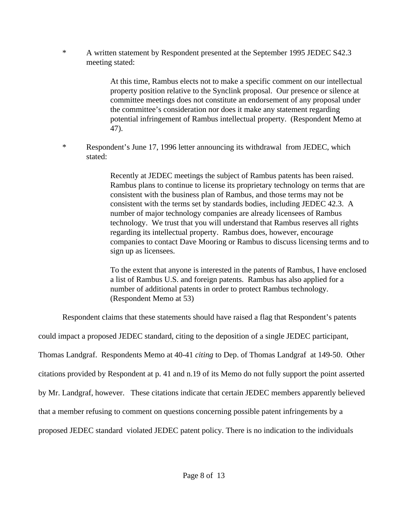\* A written statement by Respondent presented at the September 1995 JEDEC S42.3 meeting stated:

> At this time, Rambus elects not to make a specific comment on our intellectual property position relative to the Synclink proposal. Our presence or silence at committee meetings does not constitute an endorsement of any proposal under the committee's consideration nor does it make any statement regarding potential infringement of Rambus intellectual property. (Respondent Memo at 47).

\* Respondent's June 17, 1996 letter announcing its withdrawal from JEDEC, which stated:

> Recently at JEDEC meetings the subject of Rambus patents has been raised. Rambus plans to continue to license its proprietary technology on terms that are consistent with the business plan of Rambus, and those terms may not be consistent with the terms set by standards bodies, including JEDEC 42.3. A number of major technology companies are already licensees of Rambus technology. We trust that you will understand that Rambus reserves all rights regarding its intellectual property. Rambus does, however, encourage companies to contact Dave Mooring or Rambus to discuss licensing terms and to sign up as licensees.

> To the extent that anyone is interested in the patents of Rambus, I have enclosed a list of Rambus U.S. and foreign patents. Rambus has also applied for a number of additional patents in order to protect Rambus technology. (Respondent Memo at 53)

Respondent claims that these statements should have raised a flag that Respondent's patents

could impact a proposed JEDEC standard, citing to the deposition of a single JEDEC participant, Thomas Landgraf. Respondents Memo at 40-41 *citing* to Dep. of Thomas Landgraf at 149-50. Other citations provided by Respondent at p. 41 and n.19 of its Memo do not fully support the point asserted by Mr. Landgraf, however. These citations indicate that certain JEDEC members apparently believed that a member refusing to comment on questions concerning possible patent infringements by a

proposed JEDEC standard violated JEDEC patent policy. There is no indication to the individuals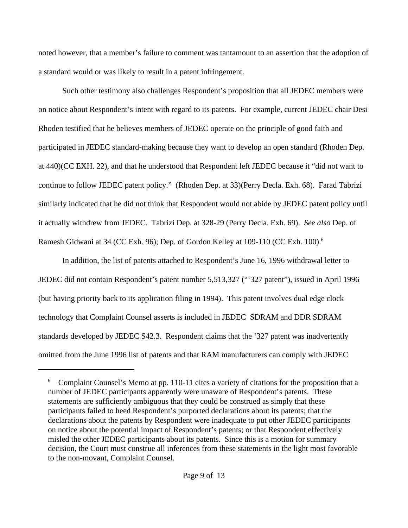noted however, that a member's failure to comment was tantamount to an assertion that the adoption of a standard would or was likely to result in a patent infringement.

Such other testimony also challenges Respondent's proposition that all JEDEC members were on notice about Respondent's intent with regard to its patents. For example, current JEDEC chair Desi Rhoden testified that he believes members of JEDEC operate on the principle of good faith and participated in JEDEC standard-making because they want to develop an open standard (Rhoden Dep. at 440)(CC EXH. 22), and that he understood that Respondent left JEDEC because it "did not want to continue to follow JEDEC patent policy." (Rhoden Dep. at 33)(Perry Decla. Exh. 68). Farad Tabrizi similarly indicated that he did not think that Respondent would not abide by JEDEC patent policy until it actually withdrew from JEDEC. Tabrizi Dep. at 328-29 (Perry Decla. Exh. 69). *See also* Dep. of Ramesh Gidwani at 34 (CC Exh. 96); Dep. of Gordon Kelley at 109-110 (CC Exh. 100).<sup>6</sup>

In addition, the list of patents attached to Respondent's June 16, 1996 withdrawal letter to JEDEC did not contain Respondent's patent number 5,513,327 ("'327 patent"), issued in April 1996 (but having priority back to its application filing in 1994). This patent involves dual edge clock technology that Complaint Counsel asserts is included in JEDEC SDRAM and DDR SDRAM standards developed by JEDEC S42.3. Respondent claims that the '327 patent was inadvertently omitted from the June 1996 list of patents and that RAM manufacturers can comply with JEDEC

<sup>&</sup>lt;sup>6</sup> Complaint Counsel's Memo at pp. 110-11 cites a variety of citations for the proposition that a number of JEDEC participants apparently were unaware of Respondent's patents. These statements are sufficiently ambiguous that they could be construed as simply that these participants failed to heed Respondent's purported declarations about its patents; that the declarations about the patents by Respondent were inadequate to put other JEDEC participants on notice about the potential impact of Respondent's patents; or that Respondent effectively misled the other JEDEC participants about its patents. Since this is a motion for summary decision, the Court must construe all inferences from these statements in the light most favorable to the non-movant, Complaint Counsel.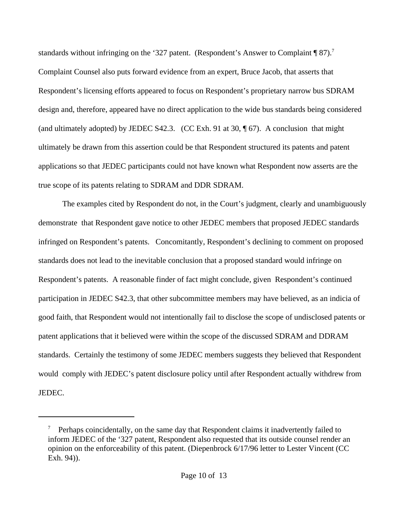standards without infringing on the '327 patent. (Respondent's Answer to Complaint ¶ 87).<sup>7</sup> Complaint Counsel also puts forward evidence from an expert, Bruce Jacob, that asserts that Respondent's licensing efforts appeared to focus on Respondent's proprietary narrow bus SDRAM design and, therefore, appeared have no direct application to the wide bus standards being considered (and ultimately adopted) by JEDEC S42.3. (CC Exh. 91 at 30, ¶ 67). A conclusion that might ultimately be drawn from this assertion could be that Respondent structured its patents and patent applications so that JEDEC participants could not have known what Respondent now asserts are the true scope of its patents relating to SDRAM and DDR SDRAM.

The examples cited by Respondent do not, in the Court's judgment, clearly and unambiguously demonstrate that Respondent gave notice to other JEDEC members that proposed JEDEC standards infringed on Respondent's patents. Concomitantly, Respondent's declining to comment on proposed standards does not lead to the inevitable conclusion that a proposed standard would infringe on Respondent's patents. A reasonable finder of fact might conclude, given Respondent's continued participation in JEDEC S42.3, that other subcommittee members may have believed, as an indicia of good faith, that Respondent would not intentionally fail to disclose the scope of undisclosed patents or patent applications that it believed were within the scope of the discussed SDRAM and DDRAM standards. Certainly the testimony of some JEDEC members suggests they believed that Respondent would comply with JEDEC's patent disclosure policy until after Respondent actually withdrew from JEDEC.

<sup>7</sup> Perhaps coincidentally, on the same day that Respondent claims it inadvertently failed to inform JEDEC of the '327 patent, Respondent also requested that its outside counsel render an opinion on the enforceability of this patent. (Diepenbrock 6/17/96 letter to Lester Vincent (CC Exh. 94)).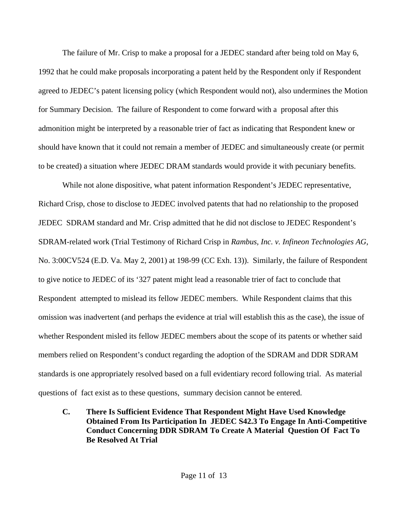The failure of Mr. Crisp to make a proposal for a JEDEC standard after being told on May 6, 1992 that he could make proposals incorporating a patent held by the Respondent only if Respondent agreed to JEDEC's patent licensing policy (which Respondent would not), also undermines the Motion for Summary Decision. The failure of Respondent to come forward with a proposal after this admonition might be interpreted by a reasonable trier of fact as indicating that Respondent knew or should have known that it could not remain a member of JEDEC and simultaneously create (or permit to be created) a situation where JEDEC DRAM standards would provide it with pecuniary benefits.

While not alone dispositive, what patent information Respondent's JEDEC representative, Richard Crisp, chose to disclose to JEDEC involved patents that had no relationship to the proposed JEDEC SDRAM standard and Mr. Crisp admitted that he did not disclose to JEDEC Respondent's SDRAM-related work (Trial Testimony of Richard Crisp in *Rambus, Inc. v. Infineon Technologies AG*, No. 3:00CV524 (E.D. Va. May 2, 2001) at 198-99 (CC Exh. 13)). Similarly, the failure of Respondent to give notice to JEDEC of its '327 patent might lead a reasonable trier of fact to conclude that Respondent attempted to mislead its fellow JEDEC members. While Respondent claims that this omission was inadvertent (and perhaps the evidence at trial will establish this as the case), the issue of whether Respondent misled its fellow JEDEC members about the scope of its patents or whether said members relied on Respondent's conduct regarding the adoption of the SDRAM and DDR SDRAM standards is one appropriately resolved based on a full evidentiary record following trial. As material questions of fact exist as to these questions, summary decision cannot be entered.

**C. There Is Sufficient Evidence That Respondent Might Have Used Knowledge Obtained From Its Participation In JEDEC S42.3 To Engage In Anti-Competitive Conduct Concerning DDR SDRAM To Create A Material Question Of Fact To Be Resolved At Trial**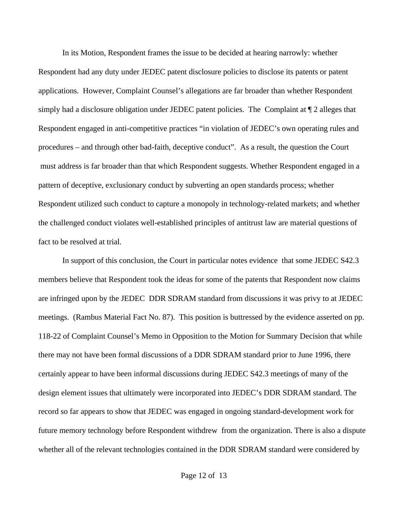In its Motion, Respondent frames the issue to be decided at hearing narrowly: whether Respondent had any duty under JEDEC patent disclosure policies to disclose its patents or patent applications. However, Complaint Counsel's allegations are far broader than whether Respondent simply had a disclosure obligation under JEDEC patent policies. The Complaint at ¶ 2 alleges that Respondent engaged in anti-competitive practices "in violation of JEDEC's own operating rules and procedures – and through other bad-faith, deceptive conduct". As a result, the question the Court must address is far broader than that which Respondent suggests. Whether Respondent engaged in a pattern of deceptive, exclusionary conduct by subverting an open standards process; whether Respondent utilized such conduct to capture a monopoly in technology-related markets; and whether the challenged conduct violates well-established principles of antitrust law are material questions of fact to be resolved at trial.

In support of this conclusion, the Court in particular notes evidence that some JEDEC S42.3 members believe that Respondent took the ideas for some of the patents that Respondent now claims are infringed upon by the JEDEC DDR SDRAM standard from discussions it was privy to at JEDEC meetings. (Rambus Material Fact No. 87). This position is buttressed by the evidence asserted on pp. 118-22 of Complaint Counsel's Memo in Opposition to the Motion for Summary Decision that while there may not have been formal discussions of a DDR SDRAM standard prior to June 1996, there certainly appear to have been informal discussions during JEDEC S42.3 meetings of many of the design element issues that ultimately were incorporated into JEDEC's DDR SDRAM standard. The record so far appears to show that JEDEC was engaged in ongoing standard-development work for future memory technology before Respondent withdrew from the organization. There is also a dispute whether all of the relevant technologies contained in the DDR SDRAM standard were considered by